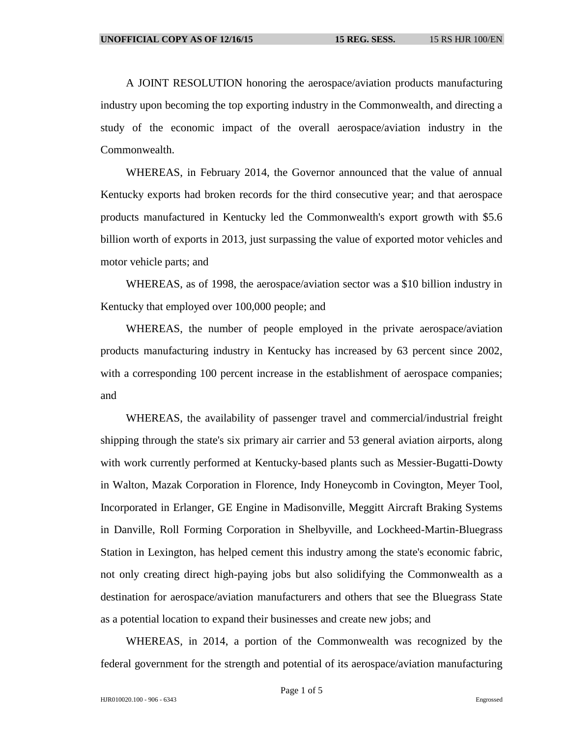A JOINT RESOLUTION honoring the aerospace/aviation products manufacturing industry upon becoming the top exporting industry in the Commonwealth, and directing a study of the economic impact of the overall aerospace/aviation industry in the Commonwealth.

WHEREAS, in February 2014, the Governor announced that the value of annual Kentucky exports had broken records for the third consecutive year; and that aerospace products manufactured in Kentucky led the Commonwealth's export growth with \$5.6 billion worth of exports in 2013, just surpassing the value of exported motor vehicles and motor vehicle parts; and

WHEREAS, as of 1998, the aerospace/aviation sector was a \$10 billion industry in Kentucky that employed over 100,000 people; and

WHEREAS, the number of people employed in the private aerospace/aviation products manufacturing industry in Kentucky has increased by 63 percent since 2002, with a corresponding 100 percent increase in the establishment of aerospace companies; and

WHEREAS, the availability of passenger travel and commercial/industrial freight shipping through the state's six primary air carrier and 53 general aviation airports, along with work currently performed at Kentucky-based plants such as Messier-Bugatti-Dowty in Walton, Mazak Corporation in Florence, Indy Honeycomb in Covington, Meyer Tool, Incorporated in Erlanger, GE Engine in Madisonville, Meggitt Aircraft Braking Systems in Danville, Roll Forming Corporation in Shelbyville, and Lockheed-Martin-Bluegrass Station in Lexington, has helped cement this industry among the state's economic fabric, not only creating direct high-paying jobs but also solidifying the Commonwealth as a destination for aerospace/aviation manufacturers and others that see the Bluegrass State as a potential location to expand their businesses and create new jobs; and

WHEREAS, in 2014, a portion of the Commonwealth was recognized by the federal government for the strength and potential of its aerospace/aviation manufacturing

Page 1 of 5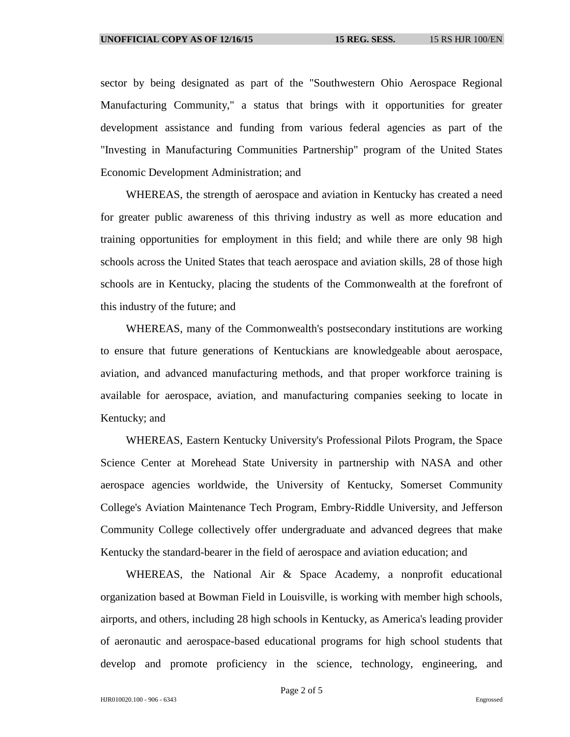sector by being designated as part of the "Southwestern Ohio Aerospace Regional Manufacturing Community," a status that brings with it opportunities for greater development assistance and funding from various federal agencies as part of the "Investing in Manufacturing Communities Partnership" program of the United States Economic Development Administration; and

WHEREAS, the strength of aerospace and aviation in Kentucky has created a need for greater public awareness of this thriving industry as well as more education and training opportunities for employment in this field; and while there are only 98 high schools across the United States that teach aerospace and aviation skills, 28 of those high schools are in Kentucky, placing the students of the Commonwealth at the forefront of this industry of the future; and

WHEREAS, many of the Commonwealth's postsecondary institutions are working to ensure that future generations of Kentuckians are knowledgeable about aerospace, aviation, and advanced manufacturing methods, and that proper workforce training is available for aerospace, aviation, and manufacturing companies seeking to locate in Kentucky; and

WHEREAS, Eastern Kentucky University's Professional Pilots Program, the Space Science Center at Morehead State University in partnership with NASA and other aerospace agencies worldwide, the University of Kentucky, Somerset Community College's Aviation Maintenance Tech Program, Embry-Riddle University, and Jefferson Community College collectively offer undergraduate and advanced degrees that make Kentucky the standard-bearer in the field of aerospace and aviation education; and

WHEREAS, the National Air & Space Academy, a nonprofit educational organization based at Bowman Field in Louisville, is working with member high schools, airports, and others, including 28 high schools in Kentucky, as America's leading provider of aeronautic and aerospace-based educational programs for high school students that develop and promote proficiency in the science, technology, engineering, and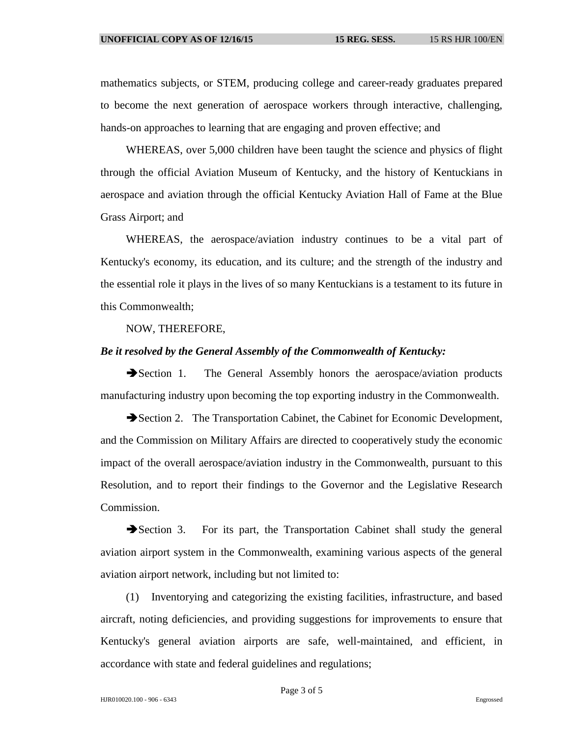mathematics subjects, or STEM, producing college and career-ready graduates prepared to become the next generation of aerospace workers through interactive, challenging, hands-on approaches to learning that are engaging and proven effective; and

WHEREAS, over 5,000 children have been taught the science and physics of flight through the official Aviation Museum of Kentucky, and the history of Kentuckians in aerospace and aviation through the official Kentucky Aviation Hall of Fame at the Blue Grass Airport; and

WHEREAS, the aerospace/aviation industry continues to be a vital part of Kentucky's economy, its education, and its culture; and the strength of the industry and the essential role it plays in the lives of so many Kentuckians is a testament to its future in this Commonwealth;

NOW, THEREFORE,

## *Be it resolved by the General Assembly of the Commonwealth of Kentucky:*

Section 1. The General Assembly honors the aerospace/aviation products manufacturing industry upon becoming the top exporting industry in the Commonwealth.

Section 2. The Transportation Cabinet, the Cabinet for Economic Development, and the Commission on Military Affairs are directed to cooperatively study the economic impact of the overall aerospace/aviation industry in the Commonwealth, pursuant to this Resolution, and to report their findings to the Governor and the Legislative Research Commission.

Section 3. For its part, the Transportation Cabinet shall study the general aviation airport system in the Commonwealth, examining various aspects of the general aviation airport network, including but not limited to:

(1) Inventorying and categorizing the existing facilities, infrastructure, and based aircraft, noting deficiencies, and providing suggestions for improvements to ensure that Kentucky's general aviation airports are safe, well-maintained, and efficient, in accordance with state and federal guidelines and regulations;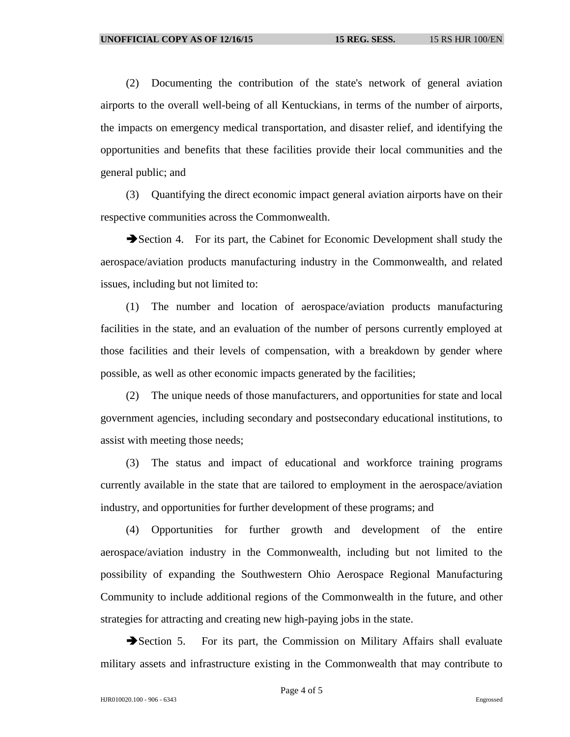(2) Documenting the contribution of the state's network of general aviation airports to the overall well-being of all Kentuckians, in terms of the number of airports, the impacts on emergency medical transportation, and disaster relief, and identifying the opportunities and benefits that these facilities provide their local communities and the general public; and

(3) Quantifying the direct economic impact general aviation airports have on their respective communities across the Commonwealth.

Section 4. For its part, the Cabinet for Economic Development shall study the aerospace/aviation products manufacturing industry in the Commonwealth, and related issues, including but not limited to:

(1) The number and location of aerospace/aviation products manufacturing facilities in the state, and an evaluation of the number of persons currently employed at those facilities and their levels of compensation, with a breakdown by gender where possible, as well as other economic impacts generated by the facilities;

(2) The unique needs of those manufacturers, and opportunities for state and local government agencies, including secondary and postsecondary educational institutions, to assist with meeting those needs;

(3) The status and impact of educational and workforce training programs currently available in the state that are tailored to employment in the aerospace/aviation industry, and opportunities for further development of these programs; and

(4) Opportunities for further growth and development of the entire aerospace/aviation industry in the Commonwealth, including but not limited to the possibility of expanding the Southwestern Ohio Aerospace Regional Manufacturing Community to include additional regions of the Commonwealth in the future, and other strategies for attracting and creating new high-paying jobs in the state.

Section 5. For its part, the Commission on Military Affairs shall evaluate military assets and infrastructure existing in the Commonwealth that may contribute to